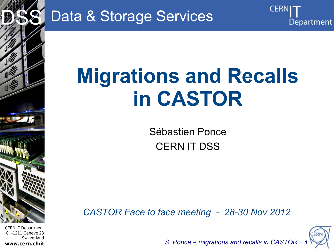

Data & Storage Services

# **Migrations and Recalls in CASTOR**

Sébastien Ponce CERN IT DSS

*CASTOR Face to face meeting - 28-30 Nov 2012*



Department

*S. Ponce – migrations and recalls in CASTOR - 1*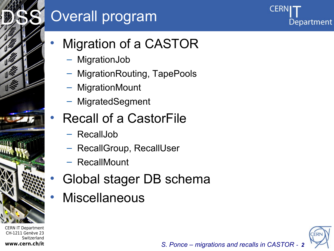# Overall program

Department

- Migration of a CASTOR
	- MigrationJob
	- MigrationRouting, TapePools
	- MigrationMount
	- MigratedSegment
	- Recall of a CastorFile
		- RecallJob
		- RecallGroup, RecallUser
		- RecallMount
- Global stager DB schema
- **Miscellaneous**



*S. Ponce – migrations and recalls in CASTOR - 2*

CERN IT Department CH-1211 Genève 23 Switzerland **www.cern.ch/it**

Internet Services of the Services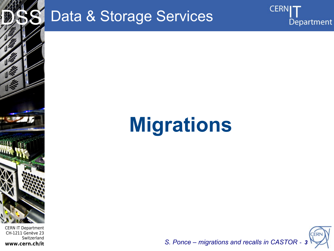

# Data & Storage Services

# **Migrations**



**CERN** 

Department

S. Ponce - migrations and recalls in CASTOR - 3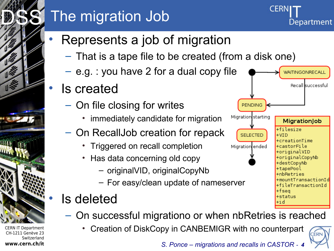# The migration Job

- Represents a job of migration
	- That is a tape file to be created (from a disk one)
	- e.g. : you have 2 for a dual copy file
- **Is created** 
	- On file closing for writes
		- immediately candidate for migration
		- On RecallJob creation for repack
			- Triggered on recall completion
			- Has data concerning old copy
				- originalVID, originalCopyNb
				- For easy/clean update of nameserver
- Is deleted
	- On successful migrationo or when nbRetries is reached
		- Creation of DiskCopy in CANBEMIGR with no counterpart



Department

**AITINGONRECALI** 

MigrationJob

+mountTransactionId +fileTransactionId

+filesize

+creationTime

+castorFile +originalVID +originalCopyNb +destCopyNb +tapePool +nbRetries

 $+VTD$ 

+fsea +status +id

Recall successful

*S. Ponce – migrations and recalls in CASTOR - 4*

**PENDING** 

Migration starting

**SELECTED** 

Migration ended



Internet Services of the Services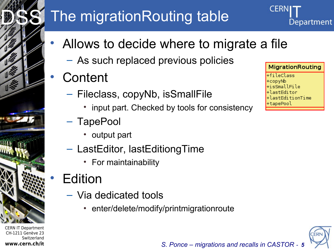# The migrationRouting table

- Allows to decide where to migrate a file
	- As such replaced previous policies
- **Content** 
	- Fileclass, copyNb, isSmallFile
		- input part. Checked by tools for consistency
	- TapePool
		- output part
	- LastEditor, lastEditiongTime
		- For maintainability

# **Edition**

- Via dedicated tools
	- enter/delete/modify/printmigrationroute

**MigrationRouting** +fileClass +copyNb isSmallFile+ +lastEditor lastEditionTime apePool

Department



CERN IT Department CH-1211 Genève 23 Switzerland **www.cern.ch/it**

Internet Services of the Services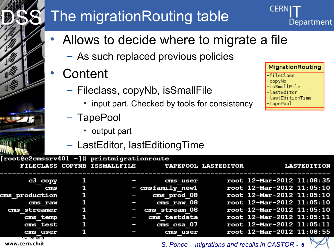# The migrationRouting table

- Allows to decide where to migrate a file
	- As such replaced previous policies
	- **Content** 
		- Fileclass, copyNb, isSmallFile
			- input part. Checked by tools for consistency
		- TapePool
			- output part
		- LastEditor, lastEditiongTime

| root@c2cmssrv401 ~]# printmigrationroute |    |                                                  |                           |
|------------------------------------------|----|--------------------------------------------------|---------------------------|
|                                          |    | FILECLASS COPYNB ISSMALLFILE TAPEPOOL LASTEDITOR | <b>LASTEDITION</b>        |
|                                          |    | cms user                                         | root 12-Mar-2012 11:08:35 |
| c3 copy                                  |    |                                                  |                           |
| ems                                      | 1  | - cmsfamily newl                                 | root 12-Mar-2012 11:05:10 |
| <b>Ems production</b>                    | -1 | cms prod 08                                      | root 12-Mar-2012 11:05:10 |
| cms raw                                  | 1  | cms raw 08                                       | root 12-Mar-2012 11:05:10 |
| cms streamer                             | 1  | cms stream 08                                    | root 12-Mar-2012 11:05:10 |
| cms temp                                 | 1  | cms testdata                                     | root 12-Mar-2012 11:05:11 |
| cms test                                 | 1  | cms csa 07                                       | root 12-Mar-2012 11:05:11 |
| cms user                                 |    | cms user                                         | root 12-Mar-2012 11:08:55 |
| Switzerland                              |    |                                                  |                           |

**MigrationRouting** +fileClass sSmallFile stEditionTime

Department

*S. Ponce – migrations and recalls in CASTOR - 6*

**www.cern.ch/it**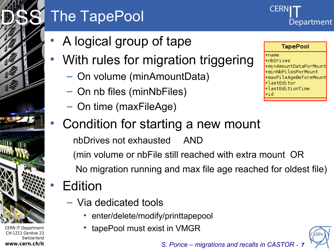# The TapePool

- A logical group of tape
- With rules for migration triggering
	- On volume (minAmountData)
	- On nb files (minNbFiles)
	- On time (maxFileAge)

### • Condition for starting a new mount

nbDrives not exhausted AND

 (min volume or nbFile still reached with extra mount OR No migration running and max file age reached for oldest file)

# **Edition**

- Via dedicated tools
	- enter/delete/modify/printtapepool
	- tapePool must exist in VMGR

CERN IT Department CH-1211 Genève 23 Switzerland **www.cern.ch/it**

Internet Services of the Services

DSS<sup>S</sup>



 $+$ name +nbDrives +minAmountDataForMount +minNbFilesForMount +maxFileAgeBeforeMount +lastEditor +lastEditionTime

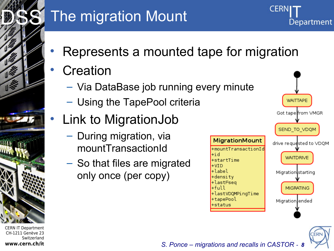

# The migration Mount

- Represents a mounted tape for migration
- **Creation** 
	- Via DataBase job running every minute
	- Using the TapePool criteria
- Link to MigrationJob
	- During migration, via mountTransactionId
	- So that files are migrated only once (per copy)





Department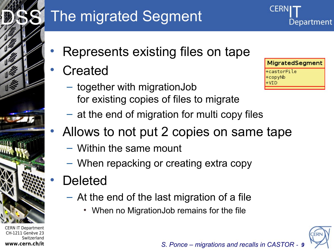

# The migrated Segment

- Represents existing files on tape
- **Created** 
	- together with migrationJob for existing copies of files to migrate
	- at the end of migration for multi copy files
- Allows to not put 2 copies on same tape
	- Within the same mount
	- When repacking or creating extra copy
- **Deleted** 
	- At the end of the last migration of a file
		- When no MigrationJob remains for the file



Department

MigratedSegment

+castorFile +copyNb VTD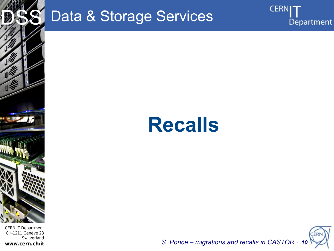

# Data & Storage Services





**CERNI** 

Department

S. Ponce - migrations and recalls in CASTOR - 10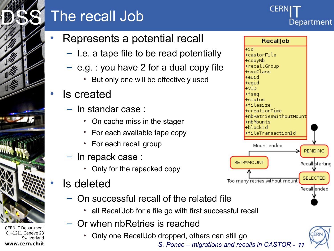

CH-1211 Genève 23

**www.cern.ch/it**

Switzerland

# The recall Job

#### • Represents a potential recall

- I.e. a tape file to be read potentially
- e.g. : you have 2 for a dual copy file
	- But only one will be effectively used

#### • Is created

- In standar case :
	- On cache miss in the stager
	- For each available tape copy
	- For each recall group
- In repack case :
	- Only for the repacked copy

### • Is deleted

- On successful recall of the related file
	- all RecallJob for a file go with first successful recall
- Or when nbRetries is reached
	- Only one RecallJob dropped, others can still go

*S. Ponce – migrations and recalls in CASTOR - 11*



**CER** 

Department

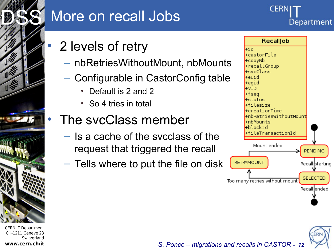

### More on recall Jobs

# Department

- 2 levels of retry
	- nbRetriesWithoutMount, nbMounts
	- Configurable in CastorConfig table
		- Default is 2 and 2
		- So 4 tries in total

### • The svcClass member

- Is a cache of the svcclass of the request that triggered the recall
- Tells where to put the file on disk



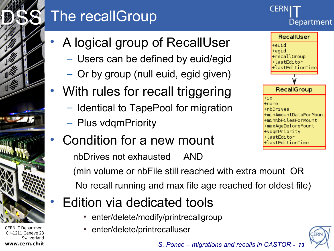# The recallGroup



- A logical group of RecallUser
	- Users can be defined by euid/egid
	- Or by group (null euid, egid given)
- With rules for recall triggering
	- Identical to TapePool for migration
	- Plus vdqmPriority

CERN IT Department CH-1211 Genève 23

Internet Services of the Services

DSS<sup>S</sup>

**www.cern.ch/it**

**Switzerland** 

• Condition for a new mount

nbDrives not exhausted AND



+maxAgeBeforeMount +vdqmPriority +lastEditor

astEditionTime.

 (min volume or nbFile still reached with extra mount OR No recall running and max file age reached for oldest file)

## • Edition via dedicated tools

- enter/delete/modify/printrecallgroup
- enter/delete/printrecalluser



*S. Ponce – migrations and recalls in CASTOR - 13*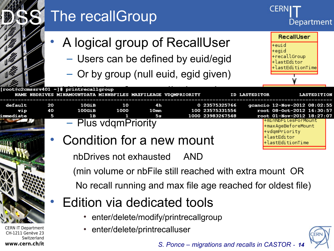|                                                                                 |               | The recallGroup                                                                                               |                        |                                                                                |                                                                                                                        |                      | CERI<br>Department                                                                                                                                   |
|---------------------------------------------------------------------------------|---------------|---------------------------------------------------------------------------------------------------------------|------------------------|--------------------------------------------------------------------------------|------------------------------------------------------------------------------------------------------------------------|----------------------|------------------------------------------------------------------------------------------------------------------------------------------------------|
|                                                                                 |               | A logical group of RecallUser<br>- Users can be defined by euid/egid<br>- Or by group (null euid, egid given) |                        | RecallUser<br>+euid<br>+egid<br>+recallGroup<br>+lastEditor<br>lastEditionTime |                                                                                                                        |                      |                                                                                                                                                      |
|                                                                                 |               | [root@c2cmssrv401 ~]# printrecallgroup<br>NAME NBDRIVES MINAMOUNTDATA MINNBFILES MAXFILEAGE VDQMPRIORITY      |                        |                                                                                |                                                                                                                        | <b>ID LASTEDITOR</b> | LASTEDITION                                                                                                                                          |
| default<br>vip<br>immediate                                                     | 20<br>40<br>5 | 10 <sub>GB</sub><br>100GHz<br>1B<br>- Plus vdgmPriority                                                       | 10<br>1000             | 4h<br>10 <sub>mn</sub><br>5s                                                   | 0 23575325766<br>100 23575331556<br>1000 23983267548                                                                   |                      | gcancio 12-Nov-2012 08:02:55<br>root 08-0ct-2012 16:30:57<br>root 01-Nov-2012 18:27:07<br>+mınNbFılesForMount<br>+maxAgeBeforeMount<br>+vdqmPriority |
|                                                                                 |               | Condition for a new mount                                                                                     | nbDrives not exhausted |                                                                                | AND                                                                                                                    |                      | +lastEditor<br>astEditionTime                                                                                                                        |
|                                                                                 |               |                                                                                                               |                        |                                                                                | (min volume or nbFile still reached with extra mount OR<br>No recall running and max file age reached for oldest file) |                      |                                                                                                                                                      |
|                                                                                 |               | Edition via dedicated tools                                                                                   |                        |                                                                                | enter/delete/modify/printrecallgroup                                                                                   |                      |                                                                                                                                                      |
| <b>CERN IT Department</b><br>CH-1211 Genève 23<br>Switzerland<br>www.cern.ch/it |               |                                                                                                               |                        | enter/delete/printrecalluser                                                   | S. Ponce – migrations and recalls in CASTOR - 14                                                                       |                      |                                                                                                                                                      |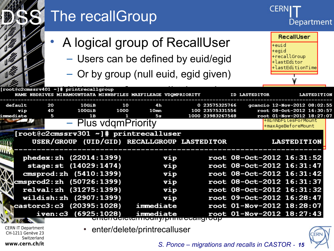|                                                                                 |                | The recallGroup                                                                                                                                                                                            |            |                                                                                                               |                                                      |                      | CERN                                             |                                                                                                                                                                                                                                      | Department         |
|---------------------------------------------------------------------------------|----------------|------------------------------------------------------------------------------------------------------------------------------------------------------------------------------------------------------------|------------|---------------------------------------------------------------------------------------------------------------|------------------------------------------------------|----------------------|--------------------------------------------------|--------------------------------------------------------------------------------------------------------------------------------------------------------------------------------------------------------------------------------------|--------------------|
|                                                                                 |                | A logical group of RecallUser<br>- Users can be defined by euid/egid<br>- Or by group (null euid, egid given)                                                                                              |            |                                                                                                               |                                                      |                      | +euid<br>+egid                                   | RecallUser<br>+recallGroup<br>+lastEditor<br>+lastEditionTime                                                                                                                                                                        |                    |
|                                                                                 |                | [root@c2cmssrv401 ~]# printrecallgroup<br>NAME NBDRIVES MINAMOUNTDATA MINNBFILES MAXFILEAGE VDQMPRIORITY                                                                                                   |            |                                                                                                               |                                                      | <b>ID LASTEDITOR</b> |                                                  |                                                                                                                                                                                                                                      | <b>LASTEDITION</b> |
| default<br>vip<br>immediate                                                     | 20<br>40<br>5  | 10GiB<br>$100$ GiB<br>1 B<br>- Plus vdgmPriority<br>[root@c2cmssrv301 ~]# printrecalluser                                                                                                                  | 10<br>1000 | 4h<br>10 <sub>mn</sub><br>5s                                                                                  | 0 23575325766<br>100 23575331556<br>1000 23983267548 |                      |                                                  | gcancio 12-Nov-2012 08:02:55<br>root 08-0ct-2012 16:30:57<br>root 01-Nov-2012 18:27:07<br>+minNbFilesForMount<br>+maxAgeBeforeMount                                                                                                  |                    |
|                                                                                 |                | USER/GROUP (UID/GID) RECALLGROUP LASTEDITOR                                                                                                                                                                |            |                                                                                                               |                                                      |                      |                                                  | <b>LASTEDITION</b>                                                                                                                                                                                                                   |                    |
|                                                                                 | <b>iven:c3</b> | phedex: zh (22014: 1399)<br>stage: st (14029:1474)<br>cmsprod: zh (5410:1399)<br>cmsprod2:zh (50726:1399)<br>relval: zh (31275:1399)<br>wildish: zh (2907:1399)<br>castorc3:c3 (20395:1028)<br>(6925:1028) |            | vip<br>vip<br>vip<br>vip<br>vip<br>vip<br>immediate<br>immediate<br><u>chichacicromodiry/brinincealignoup</u> |                                                      |                      |                                                  | root 08-0ct-2012 16:31:52<br>root 08-0ct-2012 16:31:47<br>root 08-0ct-2012 16:31:42<br>root 08-0ct-2012 16:31:37<br>root 08-0ct-2012 16:31:32<br>root 09-0ct-2012 16:28:47<br>root 01-Nov-2012 18:28:07<br>root 01-Nov-2012 18:27:43 |                    |
| <b>CERN IT Department</b><br>CH-1211 Genève 23<br>Switzerland<br>www.cern.ch/it |                |                                                                                                                                                                                                            |            | enter/delete/printrecalluser                                                                                  |                                                      |                      | S. Ponce – migrations and recalls in CASTOR - 15 |                                                                                                                                                                                                                                      |                    |
|                                                                                 |                |                                                                                                                                                                                                            |            |                                                                                                               |                                                      |                      |                                                  |                                                                                                                                                                                                                                      |                    |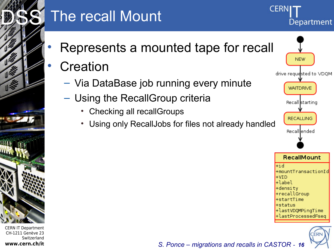

# The recall Mount

- Represents a mounted tape for recall
- **Creation** 
	- Via DataBase job running every minute
	- Using the RecallGroup criteria
		- Checking all recallGroups
		- Using only RecallJobs for files not already handled



Department

CERI

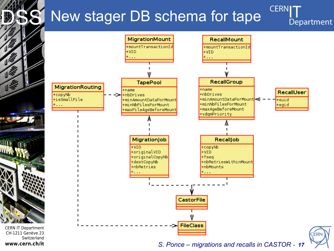# New stager DB schema for tape

**CERNI** Department



S. Ponce – migrations and recalls in CASTOR - 17

www.cern.ch/it

**THEFT** 

 $\sqrt{2}$